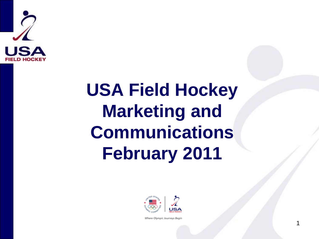

# **USA Field Hockey Marketing and Communications February 2011**



Where Olympic Journeys Begin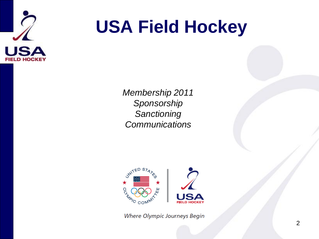

### **USA Field Hockey**

*Membership 2011 Sponsorship Sanctioning Communications* 



Where Olympic Journeys Begin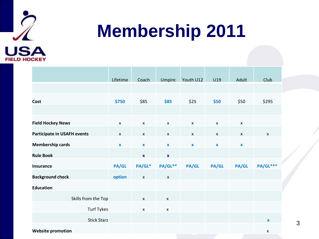

|                                    | Lifetime           | Coach              | Umpire             | Youth U12    | U19                | Adult              | Club               |
|------------------------------------|--------------------|--------------------|--------------------|--------------|--------------------|--------------------|--------------------|
|                                    |                    |                    |                    |              |                    |                    |                    |
| Cost                               | \$750              | \$85               | \$85               | \$25         | \$50               | \$50               | \$295              |
|                                    |                    |                    |                    |              |                    |                    |                    |
| <b>Field Hockey News</b>           | $\pmb{\mathsf{X}}$ | $\pmb{\mathsf{X}}$ | $\mathsf{X}$       | $\mathsf{x}$ | $\mathsf{x}$       | $\pmb{\chi}$       |                    |
| <b>Participate in USAFH events</b> | $\mathsf{x}$       | $\mathsf{X}$       | $\pmb{\mathsf{X}}$ | $\mathsf{x}$ | $\pmb{\mathsf{X}}$ | $\pmb{\chi}$       | $\pmb{\mathsf{X}}$ |
| <b>Membership cards</b>            | $\mathbf{x}$       | $\mathbf{x}$       | $\pmb{\mathsf{X}}$ | $\mathbf{x}$ | $\mathbf{x}$       | $\pmb{\mathsf{X}}$ |                    |
| <b>Rule Book</b>                   |                    | $\pmb{\mathsf{x}}$ | $\mathbf x$        |              |                    |                    |                    |
| <b>Insurance</b>                   | <b>PA/GL</b>       | PA/GL*             | PA/GL**            | <b>PA/GL</b> | <b>PA/GL</b>       | <b>PA/GL</b>       | <b>PA/GL***</b>    |
| <b>Background check</b>            | option             | $\mathsf{x}$       | $\pmb{\mathsf{X}}$ |              |                    |                    |                    |
| <b>Education</b>                   |                    |                    |                    |              |                    |                    |                    |
| Skills from the Top                |                    | $\pmb{\mathsf{X}}$ | $\pmb{\mathsf{X}}$ |              |                    |                    |                    |
| <b>Turf Tykes</b>                  |                    | $\pmb{\mathsf{X}}$ | $\pmb{\mathsf{x}}$ |              |                    |                    |                    |
| <b>Stick Starz</b>                 |                    |                    |                    |              |                    |                    | $\pmb{\mathsf{x}}$ |
|                                    |                    |                    |                    |              |                    |                    |                    |

**Website promotion** x

3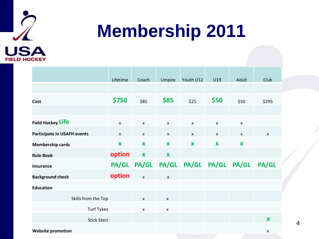

|                                    | Lifetime                  | Coach                     | Umpire                    | Youth U12                 | U19                       | Adult              | Club         |
|------------------------------------|---------------------------|---------------------------|---------------------------|---------------------------|---------------------------|--------------------|--------------|
|                                    |                           |                           |                           |                           |                           |                    |              |
| Cost                               | \$750                     | \$85                      | \$85                      | \$25                      | \$50                      | \$50               | \$295        |
|                                    |                           |                           |                           |                           |                           |                    |              |
| Field Hockey Life                  | $\mathsf{x}$              | $\pmb{\mathsf{X}}$        | $\mathsf{x}$              | $\mathsf{x}$              | $\pmb{\mathsf{X}}$        | $\pmb{\mathsf{X}}$ |              |
| <b>Participate in USAFH events</b> | $\boldsymbol{\mathsf{x}}$ | $\mathsf{x}$              | $\boldsymbol{\mathsf{x}}$ | $\mathsf{x}$              | $\mathsf{X}$              | $\pmb{\mathsf{X}}$ | $\mathsf{x}$ |
| <b>Membership cards</b>            | X                         | X                         | $\boldsymbol{\mathsf{x}}$ | $\boldsymbol{\mathsf{X}}$ | $\boldsymbol{\mathsf{x}}$ | $\mathbf x$        |              |
| <b>Rule Book</b>                   | option                    | $\boldsymbol{\mathsf{x}}$ | $\mathbf x$               |                           |                           |                    |              |
| <b>Insurance</b>                   | PA/GL                     | PA/GL                     | PA/GL                     |                           | PA/GL PA/GL               | PA/GL              | PA/GL        |
| <b>Background check</b>            | option                    | $\pmb{\mathsf{X}}$        | $\pmb{\mathsf{X}}$        |                           |                           |                    |              |
| <b>Education</b>                   |                           |                           |                           |                           |                           |                    |              |
| Skills from the Top                |                           | X                         | $\mathsf{x}$              |                           |                           |                    |              |
| <b>Turf Tykes</b>                  |                           | $\pmb{\mathsf{X}}$        | X                         |                           |                           |                    |              |
| <b>Stick Starz</b>                 |                           |                           |                           |                           |                           |                    | X            |
| <b>Website promotion</b>           |                           |                           |                           |                           |                           |                    | X            |

4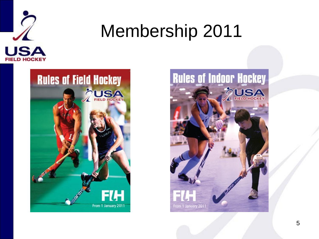



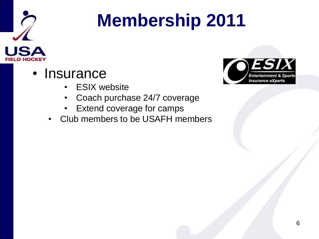

- Insurance
	- ESIX website
	- Coach purchase 24/7 coverage
	- Extend coverage for camps
	- Club members to be USAFH members

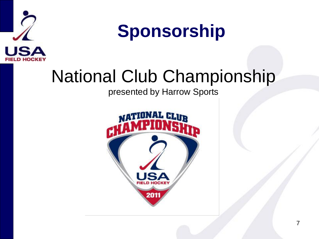

### **Sponsorship**

### National Club Championship

### presented by Harrow Sports

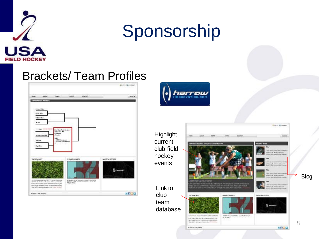

### Sponsorship

### Brackets/ Team Profiles





**Highlight** current club field hockey events

Link to club team database



Blog

8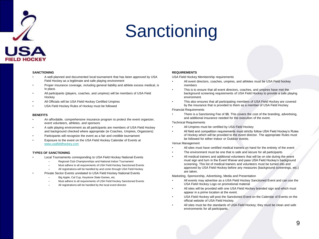

### Sanctioning

### **SANCTIONING**

- A well-planned and documented local tournament that has been approved by USA Field Hockey as a legitimate and safe playing environment
- Proper insurance coverage, including general liability and athlete excess medical, is in place.
- All participants (players, coaches, and umpires) will be members of USA Field Hockey
- All Officials will be USA Field Hockey Certified Umpires
- USA Field Hockey Rules of Hockey must be followed

### **BENEFITS**

- An affordable, comprehensive insurance program to protect the event organizer, event volunteers, athletes, and sponsors
- A safe playing environment as all participants are members of USA Field Hockey and background checked where appropriate (ie Coaches, Umpires, Organizers)
- Participants will recognize the event as a fair and credible tournament
- Exposure to the event on the USA Field Hockey Calendar of Events at [www.usafieldhockey.com](http://www.usafieldhockey.com/)

### **TYPES OF SANCTIONING**

- Local Tournaments corresponding to USA Field Hockey National Events
	- Regional Club Championships and National Indoor Tournament
	- Must adhere to all requirements of USA Field Hockey Sanctioned Events
	- All registrations will be handled by and come through USA Field Hockey
- Private Sector Events unrelated to USA Field Hockey National Events
	- Big Apple, Cal Cup, Keystone State Games, etc.
	- Must adhere to all requirements of USA Field Hockey Sanctioned Events
	- All registrations will be handled by the local event director

### **REQUIREMENTS**

USA Field Hockey Membership requirements

- All event directors, coaches, umpires, and athletes must be USA Field hockey members
- This is to ensure that all event directors, coaches, and umpires have met the background screening requirements of USA Field Hockey to provide a safe playing environment.
- This also ensures that all participating members of USA Field Hockey are covered by the insurance that is provided to them as a member of USA Field Hockey

### Financial Requirements

• There is a Sanctioning Fee of \$\$. This covers the cost of the branding, advertising, and additional insurance needed for the execution of the event.

### Technical Requirements

- All Umpires must be certified by USA Field Hockey
- All field and competition requirements must strictly follow USA Field Hockey's Rules of Hockey which will be provided to the event director. The appropriate Rules must be followed for either Indoor or Outdoor events.

### Venue Management

- All sites must have certified medical trainers on hand for the entirety of the event
- The environment must be one that is safe and secure for all participants
- All medical trainers and additional volunteers that will be on site during the event must sign and turn in the Event Waiver and pass USA Field Hockey's background screening. This list of medical trainers and volunteers must be turned into and approved by USA Field Hockey before any measures (background screenings, etc.) are taken.

Marketing, Sponsorship, Advertising, Media and Presentation

- All events may advertise as a USA Field Hockey Sanctioned Event and can use the USA Field Hockey Logo on promotional material
- All sites will be provided with one USA Field Hockey branded sign and which must appear in a prime location at the event.
- USA Field Hockey will post the Sanctioned Event on the Calendar of Events on the official website of USA Field Hockey.
- All sites must be the standards of USA Field Hockey; they must be clean and safe environments for all participants.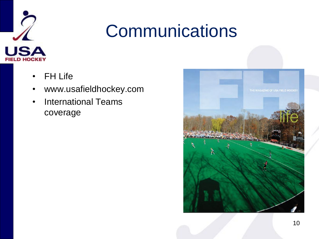

## **Communications**

- FH Life
- www.usafieldhockey.com
- International Teams coverage